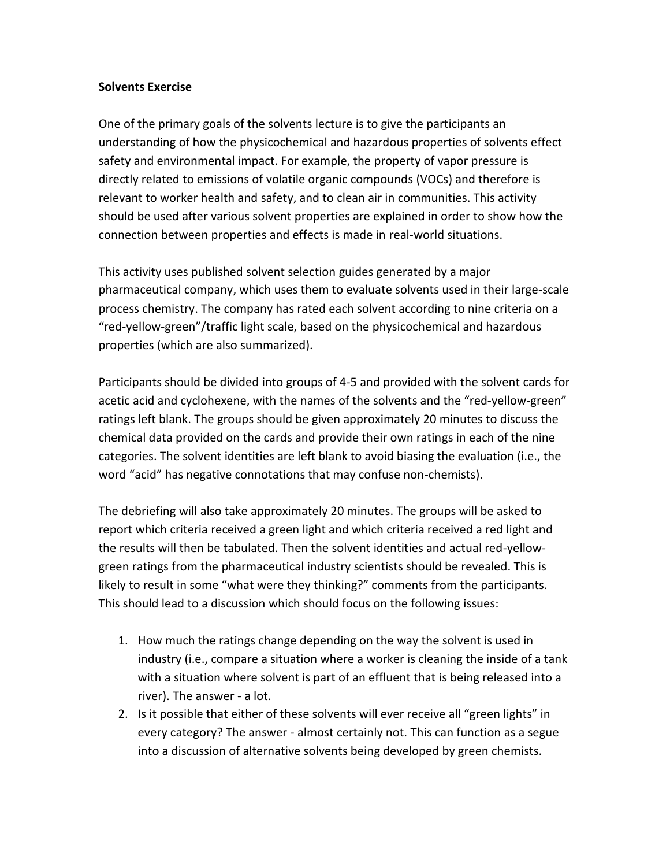## **Solvents Exercise**

One of the primary goals of the solvents lecture is to give the participants an understanding of how the physicochemical and hazardous properties of solvents effect safety and environmental impact. For example, the property of vapor pressure is directly related to emissions of volatile organic compounds (VOCs) and therefore is relevant to worker health and safety, and to clean air in communities. This activity should be used after various solvent properties are explained in order to show how the connection between properties and effects is made in real-world situations.

This activity uses published solvent selection guides generated by a major pharmaceutical company, which uses them to evaluate solvents used in their large-scale process chemistry. The company has rated each solvent according to nine criteria on a "red-yellow-green"/traffic light scale, based on the physicochemical and hazardous properties (which are also summarized).

Participants should be divided into groups of 4-5 and provided with the solvent cards for acetic acid and cyclohexene, with the names of the solvents and the "red-yellow-green" ratings left blank. The groups should be given approximately 20 minutes to discuss the chemical data provided on the cards and provide their own ratings in each of the nine categories. The solvent identities are left blank to avoid biasing the evaluation (i.e., the word "acid" has negative connotations that may confuse non-chemists).

The debriefing will also take approximately 20 minutes. The groups will be asked to report which criteria received a green light and which criteria received a red light and the results will then be tabulated. Then the solvent identities and actual red-yellowgreen ratings from the pharmaceutical industry scientists should be revealed. This is likely to result in some "what were they thinking?" comments from the participants. This should lead to a discussion which should focus on the following issues:

- 1. How much the ratings change depending on the way the solvent is used in industry (i.e., compare a situation where a worker is cleaning the inside of a tank with a situation where solvent is part of an effluent that is being released into a river). The answer - a lot.
- 2. Is it possible that either of these solvents will ever receive all "green lights" in every category? The answer - almost certainly not. This can function as a segue into a discussion of alternative solvents being developed by green chemists.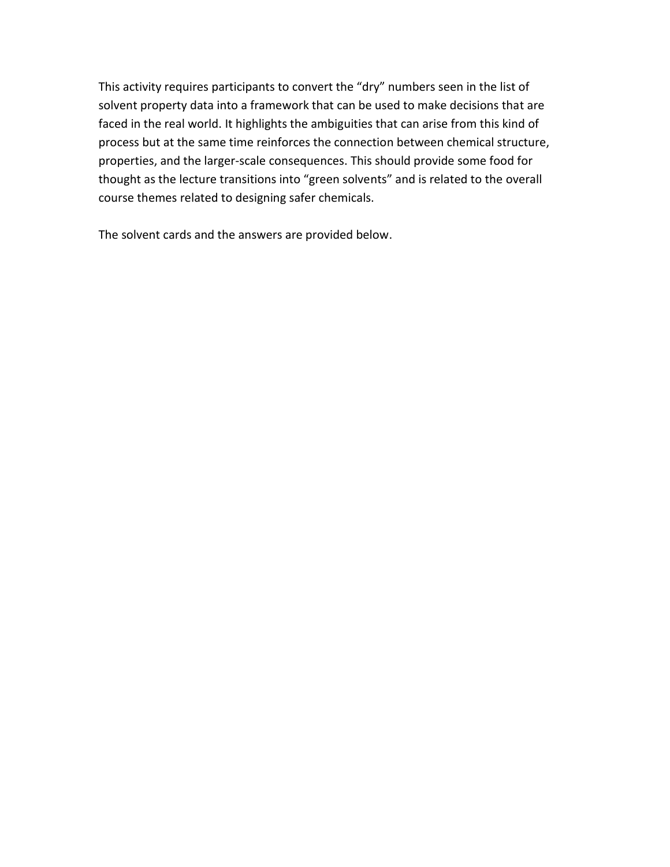This activity requires participants to convert the "dry" numbers seen in the list of solvent property data into a framework that can be used to make decisions that are faced in the real world. It highlights the ambiguities that can arise from this kind of process but at the same time reinforces the connection between chemical structure, properties, and the larger-scale consequences. This should provide some food for thought as the lecture transitions into "green solvents" and is related to the overall course themes related to designing safer chemicals.

The solvent cards and the answers are provided below.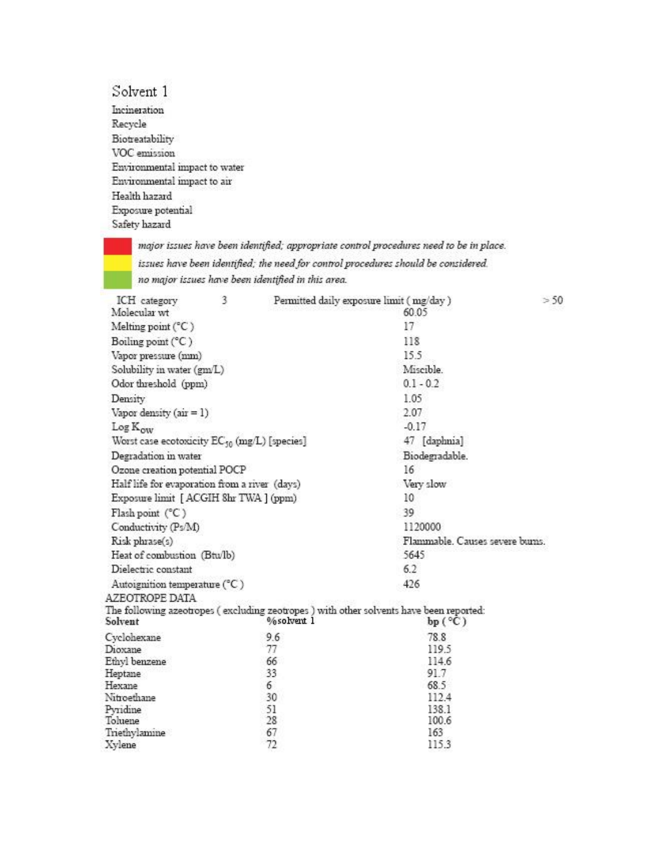## Solvent 1

Incineration Recycle Biotreatability VOC emission Environmental impact to water Environmental impact to air Health hazard Exposure potential Safety hazard

> major issues have been identified; appropriate control procedures need to be in place. issues have been identified; the need for control procedures should be considered. no major issues have been identified in this area.

| ICH category<br>Molecular wt                      | 3 |            | Permitted daily exposure limit (mg/day)<br>60.05                                                          | >5 |
|---------------------------------------------------|---|------------|-----------------------------------------------------------------------------------------------------------|----|
| Melting point (°C)                                |   |            | 17                                                                                                        |    |
| Boiling point (°C)                                |   |            | 118                                                                                                       |    |
| Vapor pressure (mm)                               |   |            | 15.5                                                                                                      |    |
| Solubility in water (gm/L)                        |   |            | Miscible.                                                                                                 |    |
| Odor threshold (ppm)                              |   |            | $0.1 - 0.2$                                                                                               |    |
| Density                                           |   |            | 1.05                                                                                                      |    |
| Vapor density $(air = 1)$                         |   |            | 2.07                                                                                                      |    |
| Log K <sub>ow</sub>                               |   |            | $-0.17$                                                                                                   |    |
| Worst case ecotoxicity $EC_{50}$ (mg/L) [species] |   |            | 47 [daphnia]                                                                                              |    |
| Degradation in water                              |   |            | Biodegradable.                                                                                            |    |
| Ozone creation potential POCP                     |   |            | 16                                                                                                        |    |
| Half life for evaporation from a river (days)     |   |            | Very slow                                                                                                 |    |
| Exposure limit [ ACGIH 8hr TWA ] (ppm)            |   |            | 10                                                                                                        |    |
| Flash point (°C)                                  |   |            | 39                                                                                                        |    |
| Conductivity (Ps/M)                               |   |            | 1120000                                                                                                   |    |
| Risk phrase(s)                                    |   |            | Flammable. Causes severe bums.                                                                            |    |
| Heat of combustion (Btu/lb)                       |   |            | 5645                                                                                                      |    |
| Dielectric constant                               |   |            | 6.2                                                                                                       |    |
| Autoignition temperature (°C)<br>AZEOTROPE DATA   |   |            | 426                                                                                                       |    |
| Solvent                                           |   | %solvent 1 | The following azeotropes (excluding zeotropes) with other solvents have been reported:<br>$bp(^{\circ}C)$ |    |
| Cyclohexane                                       |   | 9.6        | 78.8                                                                                                      |    |
| Dioxane                                           |   | 77         | 119.5                                                                                                     |    |
| Ethyl benzene                                     |   | 66         | 114.6                                                                                                     |    |
| Heptane                                           |   | 33         | 91.7                                                                                                      |    |
| Hexane                                            |   | 6          | 68.5                                                                                                      |    |
| Nitroethane                                       |   | 30         | 112.4                                                                                                     |    |
| Pyridine                                          |   | 51         | 138.1                                                                                                     |    |
| Toluene                                           |   | 28         | 100.6                                                                                                     |    |
| Triethylamine                                     |   | 67         | 163                                                                                                       |    |
| Xylene                                            |   | 72         | 115.3                                                                                                     |    |

50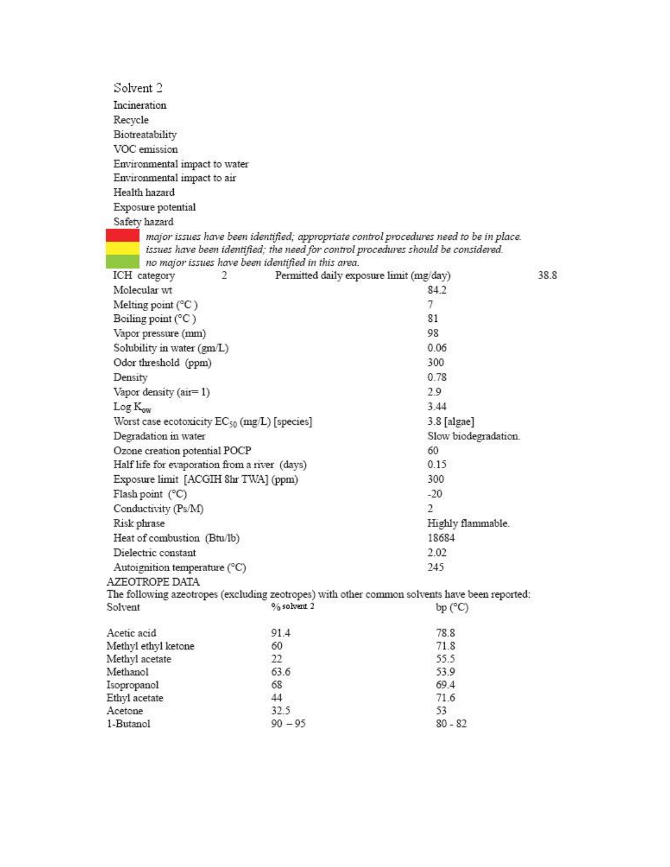| Solvent <sub>2</sub>                 |                                                          |                                                                                                                                                                              |                      |
|--------------------------------------|----------------------------------------------------------|------------------------------------------------------------------------------------------------------------------------------------------------------------------------------|----------------------|
|                                      |                                                          |                                                                                                                                                                              |                      |
| Incineration                         |                                                          |                                                                                                                                                                              |                      |
| Recycle                              |                                                          |                                                                                                                                                                              |                      |
| Biotreatability                      |                                                          |                                                                                                                                                                              |                      |
| VOC emission                         |                                                          |                                                                                                                                                                              |                      |
| Environmental impact to water        |                                                          |                                                                                                                                                                              |                      |
| Environmental impact to air          |                                                          |                                                                                                                                                                              |                      |
| Health hazard                        |                                                          |                                                                                                                                                                              |                      |
| Exposure potential                   |                                                          |                                                                                                                                                                              |                      |
| Safety hazard                        |                                                          |                                                                                                                                                                              |                      |
|                                      | no major issues have been identified in this area.       | major issues have been identified; appropriate control procedures need to be in place.<br>issues have been identified; the need for control procedures should be considered. |                      |
| ICH category<br>2                    | Permitted daily exposure limit (mg/day)                  |                                                                                                                                                                              | 38.8                 |
| Molecular wt                         |                                                          | 84.2                                                                                                                                                                         |                      |
| Melting point $(^{\circ}C)$          |                                                          | 7.                                                                                                                                                                           |                      |
| Boiling point $(^{\circ}C)$          |                                                          | 81                                                                                                                                                                           |                      |
| Vapor pressure (mm)                  |                                                          | 98                                                                                                                                                                           |                      |
| Solubility in water (gm/L)           |                                                          |                                                                                                                                                                              |                      |
| Odor threshold (ppm)                 |                                                          | 300                                                                                                                                                                          |                      |
| Density                              |                                                          |                                                                                                                                                                              |                      |
| Vapor density (air=1)                |                                                          |                                                                                                                                                                              |                      |
| $Log K_{ow}$                         |                                                          |                                                                                                                                                                              |                      |
|                                      | Worst case ecotoxicity EC <sub>50</sub> (mg/L) [species] |                                                                                                                                                                              |                      |
|                                      | Degradation in water                                     |                                                                                                                                                                              | Slow biodegradation. |
|                                      | Ozone creation potential POCP                            |                                                                                                                                                                              |                      |
|                                      | Half life for evaporation from a river (days)            |                                                                                                                                                                              |                      |
| Exposure limit [ACGIH 8hr TWA] (ppm) | 300                                                      |                                                                                                                                                                              |                      |
| Flash point (°C)                     |                                                          | $-20$                                                                                                                                                                        |                      |
| Conductivity (Ps/M)                  |                                                          | 2                                                                                                                                                                            |                      |
| Risk phrase                          |                                                          | Highly flammable.                                                                                                                                                            |                      |
| Heat of combustion (Btu/Ib)          |                                                          | 18684                                                                                                                                                                        |                      |
| Dielectric constant                  |                                                          |                                                                                                                                                                              |                      |
|                                      | Autoignition temperature (°C)                            |                                                                                                                                                                              |                      |
| AZEOTROPE DATA                       |                                                          | 245                                                                                                                                                                          |                      |
|                                      |                                                          | The following azeotropes (excluding zeotropes) with other common solvents have been reported:                                                                                |                      |
| Solvent                              | $%$ solvent 2                                            | bp (°C)                                                                                                                                                                      |                      |
| Acetic acid                          | 91.4                                                     | 78.8                                                                                                                                                                         |                      |
| Methyl ethyl ketone                  | 60                                                       | 71.8                                                                                                                                                                         |                      |
| Methyl acetate                       | 22                                                       | 55.5                                                                                                                                                                         |                      |
| Methanol                             | 63.6                                                     | 53.9                                                                                                                                                                         |                      |
| Isopropanol                          | 68                                                       | 69.4                                                                                                                                                                         |                      |
| Ethyl acetate                        | 44                                                       | 71.6                                                                                                                                                                         |                      |
| Acetone                              | 32.5                                                     | 53                                                                                                                                                                           |                      |
| 1-Butanol                            | $90 - 95$                                                | $80 - 82$                                                                                                                                                                    |                      |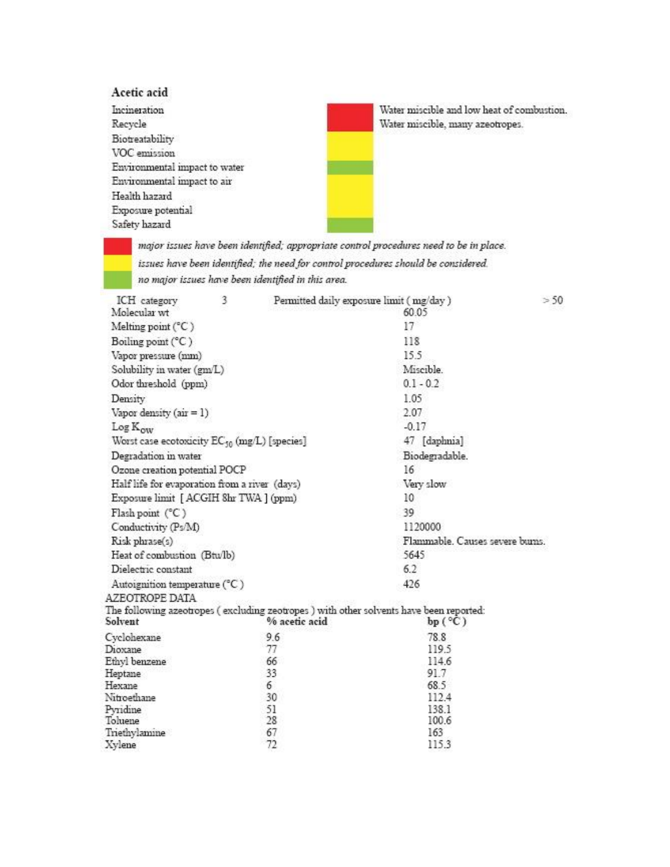## Acetic acid

Incineration Recycle Biotreatability VOC emission Environmental impact to water Environmental impact to air Health hazard Exposure potential Safety hazard

Water miscible and low heat of combustion. Water miscible, many azeotropes.

major issues have been identified; appropriate control procedures need to be in place. issues have been identified; the need for control procedures should be considered. no major issues have been identified in this area.

| ICH category<br>Molecular wt                      | 3 | Permitted daily exposure limit (mg/day) |                                                                                         | > 50 |  |  |
|---------------------------------------------------|---|-----------------------------------------|-----------------------------------------------------------------------------------------|------|--|--|
|                                                   |   |                                         | 60.05                                                                                   |      |  |  |
| Melting point $(^{\circ}C)$                       |   |                                         | 17                                                                                      |      |  |  |
| Boiling point (°C)                                |   |                                         | 118                                                                                     |      |  |  |
| Vapor pressure (mm)                               |   |                                         | 15.5                                                                                    |      |  |  |
| Solubility in water (gm/L)                        |   |                                         | Miscible.                                                                               |      |  |  |
| Odor threshold (ppm)                              |   |                                         | $0.1 - 0.2$                                                                             |      |  |  |
| Density                                           |   |                                         | 1.05                                                                                    |      |  |  |
| Vapor density $(a\dot{x} = 1)$                    |   |                                         | 2.07                                                                                    |      |  |  |
| Log K <sub>ow</sub>                               |   |                                         | $-0.17$                                                                                 |      |  |  |
| Worst case ecotoxicity $EC_{50}$ (mg/L) [species] |   |                                         | 47 [daphnia]                                                                            |      |  |  |
| Degradation in water                              |   |                                         | Biodegradable.                                                                          |      |  |  |
| Ozone creation potential POCP                     |   |                                         | 16                                                                                      |      |  |  |
| Half life for evaporation from a river (days)     |   |                                         | Very slow                                                                               |      |  |  |
| Exposure limit [ ACGIH 8hr TWA ] (ppm)            |   |                                         | 10                                                                                      |      |  |  |
| Flash point (°C)                                  |   |                                         | 39                                                                                      |      |  |  |
| Conductivity (Ps/M)                               |   |                                         | 1120000                                                                                 |      |  |  |
| Risk phrase(s)                                    |   |                                         | Flammable. Causes severe bums.                                                          |      |  |  |
| Heat of combustion (Btu/lb)                       |   |                                         | 5645                                                                                    |      |  |  |
| Dielectric constant                               |   |                                         | 6.2                                                                                     |      |  |  |
| Autoignition temperature (°C)<br>AZEOTROPE DATA   |   |                                         | 426                                                                                     |      |  |  |
|                                                   |   |                                         | The following azeotropes (excluding zeotropes ) with other solvents have been reported: |      |  |  |
| Solvent                                           |   | % acetic acid                           | $bp(^{\circ}C)$                                                                         |      |  |  |
| Cyclohexane                                       |   | 9.6                                     | 78.8                                                                                    |      |  |  |
| Dioxane                                           |   | 77                                      | 119.5                                                                                   |      |  |  |
| Ethyl benzene                                     |   | 66                                      | 114.6                                                                                   |      |  |  |
| Heptane                                           |   | 33                                      | 91.7                                                                                    |      |  |  |
| Hexane                                            |   | 6                                       | 68.5                                                                                    |      |  |  |
| Nitroethane                                       |   | 30                                      | 112.4                                                                                   |      |  |  |
| Pyridine                                          |   | 51                                      | 138.1                                                                                   |      |  |  |
| Toluene                                           |   | 28                                      | 100.6                                                                                   |      |  |  |
| Triethylamine                                     |   | 67                                      | 163                                                                                     |      |  |  |
| Xylene                                            |   | 72                                      | 115.3                                                                                   |      |  |  |